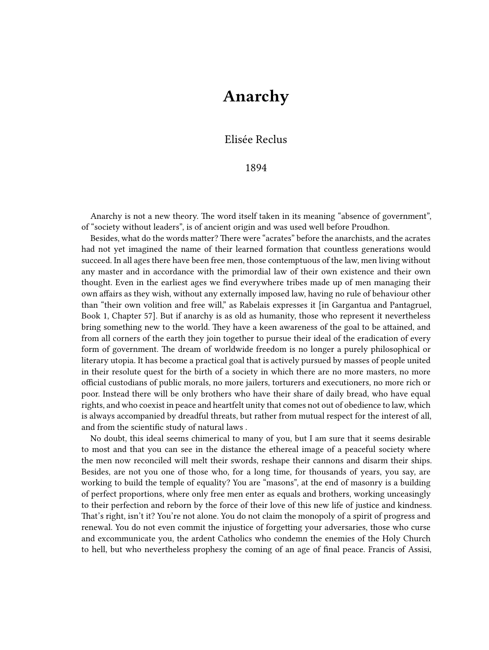## **Anarchy**

## Elisée Reclus

## 1894

Anarchy is not a new theory. The word itself taken in its meaning "absence of government", of "society without leaders", is of ancient origin and was used well before Proudhon.

Besides, what do the words matter? There were "acrates" before the anarchists, and the acrates had not yet imagined the name of their learned formation that countless generations would succeed. In all ages there have been free men, those contemptuous of the law, men living without any master and in accordance with the primordial law of their own existence and their own thought. Even in the earliest ages we find everywhere tribes made up of men managing their own affairs as they wish, without any externally imposed law, having no rule of behaviour other than "their own volition and free will," as Rabelais expresses it [in Gargantua and Pantagruel, Book 1, Chapter 57]. But if anarchy is as old as humanity, those who represent it nevertheless bring something new to the world. They have a keen awareness of the goal to be attained, and from all corners of the earth they join together to pursue their ideal of the eradication of every form of government. The dream of worldwide freedom is no longer a purely philosophical or literary utopia. It has become a practical goal that is actively pursued by masses of people united in their resolute quest for the birth of a society in which there are no more masters, no more official custodians of public morals, no more jailers, torturers and executioners, no more rich or poor. Instead there will be only brothers who have their share of daily bread, who have equal rights, and who coexist in peace and heartfelt unity that comes not out of obedience to law, which is always accompanied by dreadful threats, but rather from mutual respect for the interest of all, and from the scientific study of natural laws .

No doubt, this ideal seems chimerical to many of you, but I am sure that it seems desirable to most and that you can see in the distance the ethereal image of a peaceful society where the men now reconciled will melt their swords, reshape their cannons and disarm their ships. Besides, are not you one of those who, for a long time, for thousands of years, you say, are working to build the temple of equality? You are "masons", at the end of masonry is a building of perfect proportions, where only free men enter as equals and brothers, working unceasingly to their perfection and reborn by the force of their love of this new life of justice and kindness. That's right, isn't it? You're not alone. You do not claim the monopoly of a spirit of progress and renewal. You do not even commit the injustice of forgetting your adversaries, those who curse and excommunicate you, the ardent Catholics who condemn the enemies of the Holy Church to hell, but who nevertheless prophesy the coming of an age of final peace. Francis of Assisi,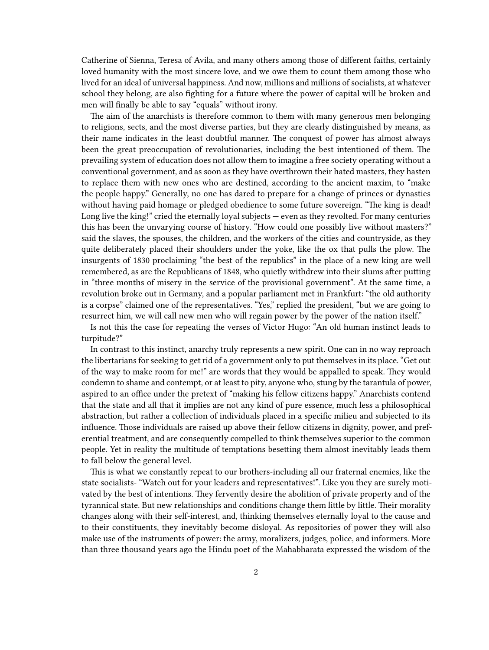Catherine of Sienna, Teresa of Avila, and many others among those of different faiths, certainly loved humanity with the most sincere love, and we owe them to count them among those who lived for an ideal of universal happiness. And now, millions and millions of socialists, at whatever school they belong, are also fighting for a future where the power of capital will be broken and men will finally be able to say "equals" without irony.

The aim of the anarchists is therefore common to them with many generous men belonging to religions, sects, and the most diverse parties, but they are clearly distinguished by means, as their name indicates in the least doubtful manner. The conquest of power has almost always been the great preoccupation of revolutionaries, including the best intentioned of them. The prevailing system of education does not allow them to imagine a free society operating without a conventional government, and as soon as they have overthrown their hated masters, they hasten to replace them with new ones who are destined, according to the ancient maxim, to "make the people happy." Generally, no one has dared to prepare for a change of princes or dynasties without having paid homage or pledged obedience to some future sovereign. "The king is dead! Long live the king!" cried the eternally loyal subjects — even as they revolted. For many centuries this has been the unvarying course of history. "How could one possibly live without masters?" said the slaves, the spouses, the children, and the workers of the cities and countryside, as they quite deliberately placed their shoulders under the yoke, like the ox that pulls the plow. The insurgents of 1830 proclaiming "the best of the republics" in the place of a new king are well remembered, as are the Republicans of 1848, who quietly withdrew into their slums after putting in "three months of misery in the service of the provisional government". At the same time, a revolution broke out in Germany, and a popular parliament met in Frankfurt: "the old authority is a corpse" claimed one of the representatives. "Yes," replied the president, "but we are going to resurrect him, we will call new men who will regain power by the power of the nation itself."

Is not this the case for repeating the verses of Victor Hugo: "An old human instinct leads to turpitude?"

In contrast to this instinct, anarchy truly represents a new spirit. One can in no way reproach the libertarians for seeking to get rid of a government only to put themselves in its place. "Get out of the way to make room for me!" are words that they would be appalled to speak. They would condemn to shame and contempt, or at least to pity, anyone who, stung by the tarantula of power, aspired to an office under the pretext of "making his fellow citizens happy." Anarchists contend that the state and all that it implies are not any kind of pure essence, much less a philosophical abstraction, but rather a collection of individuals placed in a specific milieu and subjected to its influence. Those individuals are raised up above their fellow citizens in dignity, power, and preferential treatment, and are consequently compelled to think themselves superior to the common people. Yet in reality the multitude of temptations besetting them almost inevitably leads them to fall below the general level.

This is what we constantly repeat to our brothers-including all our fraternal enemies, like the state socialists- "Watch out for your leaders and representatives!". Like you they are surely motivated by the best of intentions. They fervently desire the abolition of private property and of the tyrannical state. But new relationships and conditions change them little by little. Their morality changes along with their self-interest, and, thinking themselves eternally loyal to the cause and to their constituents, they inevitably become disloyal. As repositories of power they will also make use of the instruments of power: the army, moralizers, judges, police, and informers. More than three thousand years ago the Hindu poet of the Mahabharata expressed the wisdom of the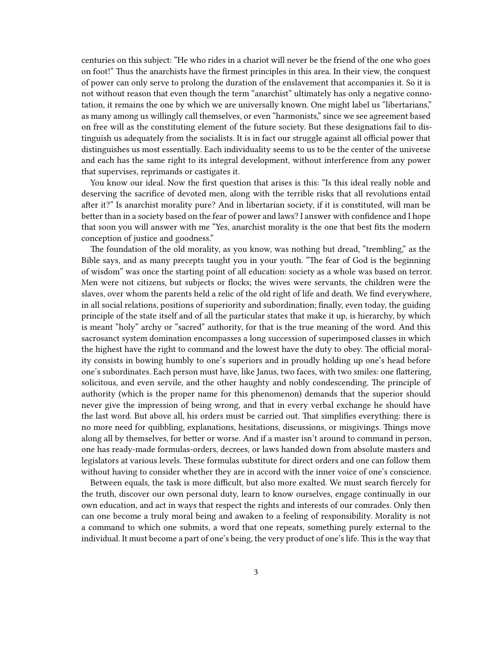centuries on this subject: "He who rides in a chariot will never be the friend of the one who goes on foot!" Thus the anarchists have the firmest principles in this area. In their view, the conquest of power can only serve to prolong the duration of the enslavement that accompanies it. So it is not without reason that even though the term "anarchist" ultimately has only a negative connotation, it remains the one by which we are universally known. One might label us "libertarians," as many among us willingly call themselves, or even "harmonists," since we see agreement based on free will as the constituting element of the future society. But these designations fail to distinguish us adequately from the socialists. It is in fact our struggle against all official power that distinguishes us most essentially. Each individuality seems to us to be the center of the universe and each has the same right to its integral development, without interference from any power that supervises, reprimands or castigates it.

You know our ideal. Now the first question that arises is this: "Is this ideal really noble and deserving the sacrifice of devoted men, along with the terrible risks that all revolutions entail after it?" Is anarchist morality pure? And in libertarian society, if it is constituted, will man be better than in a society based on the fear of power and laws? I answer with confidence and I hope that soon you will answer with me "Yes, anarchist morality is the one that best fits the modern conception of justice and goodness."

The foundation of the old morality, as you know, was nothing but dread, "trembling," as the Bible says, and as many precepts taught you in your youth. "The fear of God is the beginning of wisdom" was once the starting point of all education: society as a whole was based on terror. Men were not citizens, but subjects or flocks; the wives were servants, the children were the slaves, over whom the parents held a relic of the old right of life and death. We find everywhere, in all social relations, positions of superiority and subordination; finally, even today, the guiding principle of the state itself and of all the particular states that make it up, is hierarchy, by which is meant "holy" archy or "sacred" authority, for that is the true meaning of the word. And this sacrosanct system domination encompasses a long succession of superimposed classes in which the highest have the right to command and the lowest have the duty to obey. The official morality consists in bowing humbly to one's superiors and in proudly holding up one's head before one's subordinates. Each person must have, like Janus, two faces, with two smiles: one flattering, solicitous, and even servile, and the other haughty and nobly condescending. The principle of authority (which is the proper name for this phenomenon) demands that the superior should never give the impression of being wrong, and that in every verbal exchange he should have the last word. But above all, his orders must be carried out. That simplifies everything: there is no more need for quibbling, explanations, hesitations, discussions, or misgivings. Things move along all by themselves, for better or worse. And if a master isn't around to command in person, one has ready-made formulas-orders, decrees, or laws handed down from absolute masters and legislators at various levels. These formulas substitute for direct orders and one can follow them without having to consider whether they are in accord with the inner voice of one's conscience.

Between equals, the task is more difficult, but also more exalted. We must search fiercely for the truth, discover our own personal duty, learn to know ourselves, engage continually in our own education, and act in ways that respect the rights and interests of our comrades. Only then can one become a truly moral being and awaken to a feeling of responsibility. Morality is not a command to which one submits, a word that one repeats, something purely external to the individual. It must become a part of one's being, the very product of one's life. This is the way that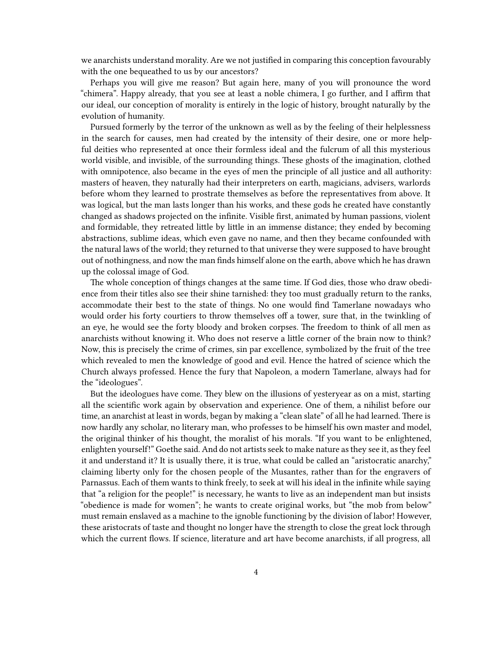we anarchists understand morality. Are we not justified in comparing this conception favourably with the one bequeathed to us by our ancestors?

Perhaps you will give me reason? But again here, many of you will pronounce the word "chimera". Happy already, that you see at least a noble chimera, I go further, and I affirm that our ideal, our conception of morality is entirely in the logic of history, brought naturally by the evolution of humanity.

Pursued formerly by the terror of the unknown as well as by the feeling of their helplessness in the search for causes, men had created by the intensity of their desire, one or more helpful deities who represented at once their formless ideal and the fulcrum of all this mysterious world visible, and invisible, of the surrounding things. These ghosts of the imagination, clothed with omnipotence, also became in the eyes of men the principle of all justice and all authority: masters of heaven, they naturally had their interpreters on earth, magicians, advisers, warlords before whom they learned to prostrate themselves as before the representatives from above. It was logical, but the man lasts longer than his works, and these gods he created have constantly changed as shadows projected on the infinite. Visible first, animated by human passions, violent and formidable, they retreated little by little in an immense distance; they ended by becoming abstractions, sublime ideas, which even gave no name, and then they became confounded with the natural laws of the world; they returned to that universe they were supposed to have brought out of nothingness, and now the man finds himself alone on the earth, above which he has drawn up the colossal image of God.

The whole conception of things changes at the same time. If God dies, those who draw obedience from their titles also see their shine tarnished: they too must gradually return to the ranks, accommodate their best to the state of things. No one would find Tamerlane nowadays who would order his forty courtiers to throw themselves off a tower, sure that, in the twinkling of an eye, he would see the forty bloody and broken corpses. The freedom to think of all men as anarchists without knowing it. Who does not reserve a little corner of the brain now to think? Now, this is precisely the crime of crimes, sin par excellence, symbolized by the fruit of the tree which revealed to men the knowledge of good and evil. Hence the hatred of science which the Church always professed. Hence the fury that Napoleon, a modern Tamerlane, always had for the "ideologues".

But the ideologues have come. They blew on the illusions of yesteryear as on a mist, starting all the scientific work again by observation and experience. One of them, a nihilist before our time, an anarchist at least in words, began by making a "clean slate" of all he had learned. There is now hardly any scholar, no literary man, who professes to be himself his own master and model, the original thinker of his thought, the moralist of his morals. "If you want to be enlightened, enlighten yourself!" Goethe said. And do not artists seek to make nature as they see it, as they feel it and understand it? It is usually there, it is true, what could be called an "aristocratic anarchy," claiming liberty only for the chosen people of the Musantes, rather than for the engravers of Parnassus. Each of them wants to think freely, to seek at will his ideal in the infinite while saying that "a religion for the people!" is necessary, he wants to live as an independent man but insists "obedience is made for women"; he wants to create original works, but "the mob from below" must remain enslaved as a machine to the ignoble functioning by the division of labor! However, these aristocrats of taste and thought no longer have the strength to close the great lock through which the current flows. If science, literature and art have become anarchists, if all progress, all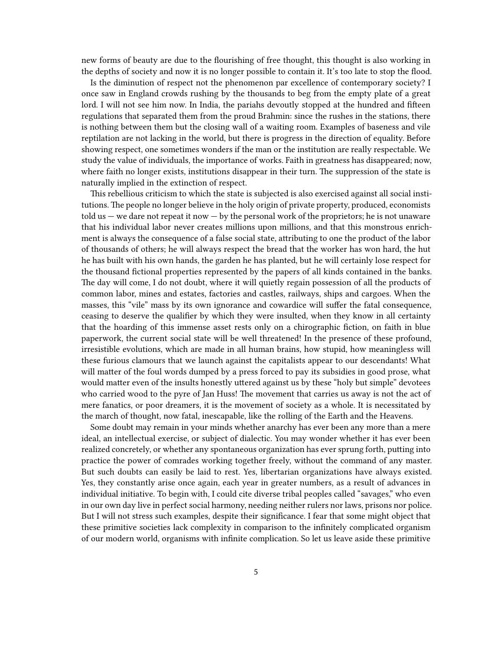new forms of beauty are due to the flourishing of free thought, this thought is also working in the depths of society and now it is no longer possible to contain it. It's too late to stop the flood.

Is the diminution of respect not the phenomenon par excellence of contemporary society? I once saw in England crowds rushing by the thousands to beg from the empty plate of a great lord. I will not see him now. In India, the pariahs devoutly stopped at the hundred and fifteen regulations that separated them from the proud Brahmin: since the rushes in the stations, there is nothing between them but the closing wall of a waiting room. Examples of baseness and vile reptilation are not lacking in the world, but there is progress in the direction of equality. Before showing respect, one sometimes wonders if the man or the institution are really respectable. We study the value of individuals, the importance of works. Faith in greatness has disappeared; now, where faith no longer exists, institutions disappear in their turn. The suppression of the state is naturally implied in the extinction of respect.

This rebellious criticism to which the state is subjected is also exercised against all social institutions. The people no longer believe in the holy origin of private property, produced, economists  $t$ old us  $-$  we dare not repeat it now  $-$  by the personal work of the proprietors; he is not unaware that his individual labor never creates millions upon millions, and that this monstrous enrichment is always the consequence of a false social state, attributing to one the product of the labor of thousands of others; he will always respect the bread that the worker has won hard, the hut he has built with his own hands, the garden he has planted, but he will certainly lose respect for the thousand fictional properties represented by the papers of all kinds contained in the banks. The day will come, I do not doubt, where it will quietly regain possession of all the products of common labor, mines and estates, factories and castles, railways, ships and cargoes. When the masses, this "vile" mass by its own ignorance and cowardice will suffer the fatal consequence, ceasing to deserve the qualifier by which they were insulted, when they know in all certainty that the hoarding of this immense asset rests only on a chirographic fiction, on faith in blue paperwork, the current social state will be well threatened! In the presence of these profound, irresistible evolutions, which are made in all human brains, how stupid, how meaningless will these furious clamours that we launch against the capitalists appear to our descendants! What will matter of the foul words dumped by a press forced to pay its subsidies in good prose, what would matter even of the insults honestly uttered against us by these "holy but simple" devotees who carried wood to the pyre of Jan Huss! The movement that carries us away is not the act of mere fanatics, or poor dreamers, it is the movement of society as a whole. It is necessitated by the march of thought, now fatal, inescapable, like the rolling of the Earth and the Heavens.

Some doubt may remain in your minds whether anarchy has ever been any more than a mere ideal, an intellectual exercise, or subject of dialectic. You may wonder whether it has ever been realized concretely, or whether any spontaneous organization has ever sprung forth, putting into practice the power of comrades working together freely, without the command of any master. But such doubts can easily be laid to rest. Yes, libertarian organizations have always existed. Yes, they constantly arise once again, each year in greater numbers, as a result of advances in individual initiative. To begin with, I could cite diverse tribal peoples called "savages," who even in our own day live in perfect social harmony, needing neither rulers nor laws, prisons nor police. But I will not stress such examples, despite their significance. I fear that some might object that these primitive societies lack complexity in comparison to the infinitely complicated organism of our modern world, organisms with infinite complication. So let us leave aside these primitive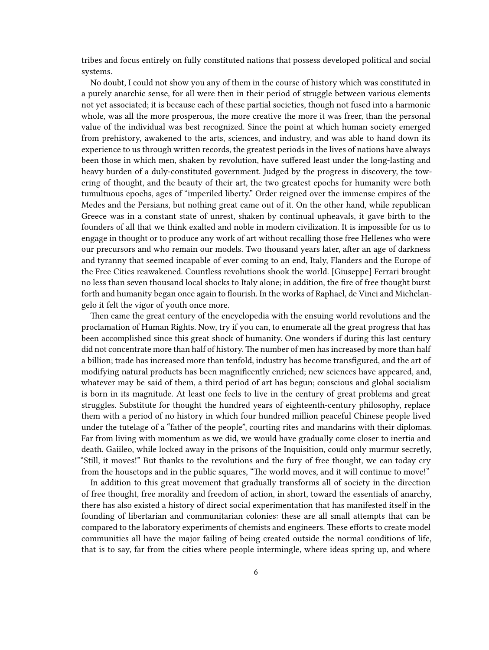tribes and focus entirely on fully constituted nations that possess developed political and social systems.

No doubt, I could not show you any of them in the course of history which was constituted in a purely anarchic sense, for all were then in their period of struggle between various elements not yet associated; it is because each of these partial societies, though not fused into a harmonic whole, was all the more prosperous, the more creative the more it was freer, than the personal value of the individual was best recognized. Since the point at which human society emerged from prehistory, awakened to the arts, sciences, and industry, and was able to hand down its experience to us through written records, the greatest periods in the lives of nations have always been those in which men, shaken by revolution, have suffered least under the long-lasting and heavy burden of a duly-constituted government. Judged by the progress in discovery, the towering of thought, and the beauty of their art, the two greatest epochs for humanity were both tumultuous epochs, ages of "imperiled liberty." Order reigned over the immense empires of the Medes and the Persians, but nothing great came out of it. On the other hand, while republican Greece was in a constant state of unrest, shaken by continual upheavals, it gave birth to the founders of all that we think exalted and noble in modern civilization. It is impossible for us to engage in thought or to produce any work of art without recalling those free Hellenes who were our precursors and who remain our models. Two thousand years later, after an age of darkness and tyranny that seemed incapable of ever coming to an end, Italy, Flanders and the Europe of the Free Cities reawakened. Countless revolutions shook the world. [Giuseppe] Ferrari brought no less than seven thousand local shocks to Italy alone; in addition, the fire of free thought burst forth and humanity began once again to flourish. In the works of Raphael, de Vinci and Michelangelo it felt the vigor of youth once more.

Then came the great century of the encyclopedia with the ensuing world revolutions and the proclamation of Human Rights. Now, try if you can, to enumerate all the great progress that has been accomplished since this great shock of humanity. One wonders if during this last century did not concentrate more than half of history. The number of men has increased by more than half a billion; trade has increased more than tenfold, industry has become transfigured, and the art of modifying natural products has been magnificently enriched; new sciences have appeared, and, whatever may be said of them, a third period of art has begun; conscious and global socialism is born in its magnitude. At least one feels to live in the century of great problems and great struggles. Substitute for thought the hundred years of eighteenth-century philosophy, replace them with a period of no history in which four hundred million peaceful Chinese people lived under the tutelage of a "father of the people", courting rites and mandarins with their diplomas. Far from living with momentum as we did, we would have gradually come closer to inertia and death. Gaiileo, while locked away in the prisons of the Inquisition, could only murmur secretly, "Still, it moves!" But thanks to the revolutions and the fury of free thought, we can today cry from the housetops and in the public squares, "The world moves, and it will continue to move!"

In addition to this great movement that gradually transforms all of society in the direction of free thought, free morality and freedom of action, in short, toward the essentials of anarchy, there has also existed a history of direct social experimentation that has manifested itself in the founding of libertarian and communitarian colonies: these are all small attempts that can be compared to the laboratory experiments of chemists and engineers. These efforts to create model communities all have the major failing of being created outside the normal conditions of life, that is to say, far from the cities where people intermingle, where ideas spring up, and where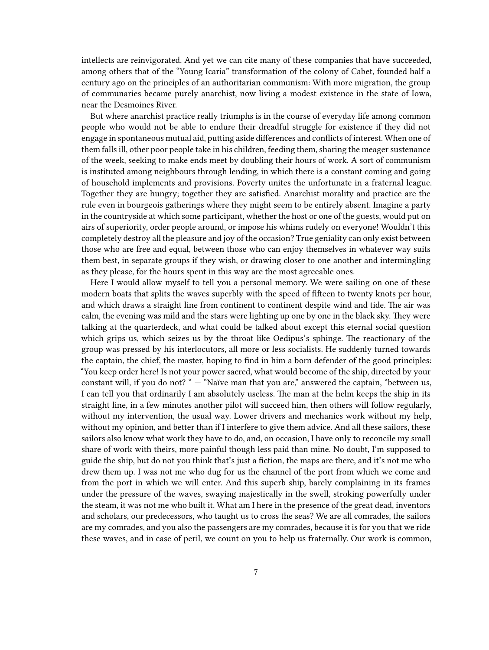intellects are reinvigorated. And yet we can cite many of these companies that have succeeded, among others that of the "Young Icaria" transformation of the colony of Cabet, founded half a century ago on the principles of an authoritarian communism: With more migration, the group of communaries became purely anarchist, now living a modest existence in the state of Iowa, near the Desmoines River.

But where anarchist practice really triumphs is in the course of everyday life among common people who would not be able to endure their dreadful struggle for existence if they did not engage in spontaneous mutual aid, putting aside differences and conflicts of interest. When one of them falls ill, other poor people take in his children, feeding them, sharing the meager sustenance of the week, seeking to make ends meet by doubling their hours of work. A sort of communism is instituted among neighbours through lending, in which there is a constant coming and going of household implements and provisions. Poverty unites the unfortunate in a fraternal league. Together they are hungry; together they are satisfied. Anarchist morality and practice are the rule even in bourgeois gatherings where they might seem to be entirely absent. Imagine a party in the countryside at which some participant, whether the host or one of the guests, would put on airs of superiority, order people around, or impose his whims rudely on everyone! Wouldn't this completely destroy all the pleasure and joy of the occasion? True geniality can only exist between those who are free and equal, between those who can enjoy themselves in whatever way suits them best, in separate groups if they wish, or drawing closer to one another and intermingling as they please, for the hours spent in this way are the most agreeable ones.

Here I would allow myself to tell you a personal memory. We were sailing on one of these modern boats that splits the waves superbly with the speed of fifteen to twenty knots per hour, and which draws a straight line from continent to continent despite wind and tide. The air was calm, the evening was mild and the stars were lighting up one by one in the black sky. They were talking at the quarterdeck, and what could be talked about except this eternal social question which grips us, which seizes us by the throat like Oedipus's sphinge. The reactionary of the group was pressed by his interlocutors, all more or less socialists. He suddenly turned towards the captain, the chief, the master, hoping to find in him a born defender of the good principles: "You keep order here! Is not your power sacred, what would become of the ship, directed by your constant will, if you do not? " - "Naïve man that you are," answered the captain, "between us, I can tell you that ordinarily I am absolutely useless. The man at the helm keeps the ship in its straight line, in a few minutes another pilot will succeed him, then others will follow regularly, without my intervention, the usual way. Lower drivers and mechanics work without my help, without my opinion, and better than if I interfere to give them advice. And all these sailors, these sailors also know what work they have to do, and, on occasion, I have only to reconcile my small share of work with theirs, more painful though less paid than mine. No doubt, I'm supposed to guide the ship, but do not you think that's just a fiction, the maps are there, and it's not me who drew them up. I was not me who dug for us the channel of the port from which we come and from the port in which we will enter. And this superb ship, barely complaining in its frames under the pressure of the waves, swaying majestically in the swell, stroking powerfully under the steam, it was not me who built it. What am I here in the presence of the great dead, inventors and scholars, our predecessors, who taught us to cross the seas? We are all comrades, the sailors are my comrades, and you also the passengers are my comrades, because it is for you that we ride these waves, and in case of peril, we count on you to help us fraternally. Our work is common,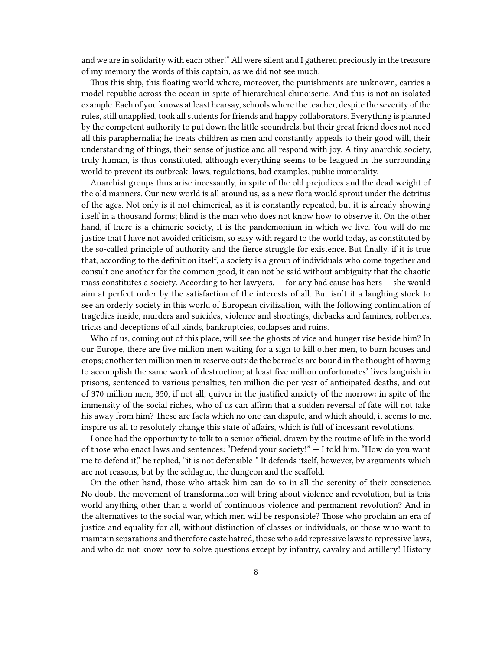and we are in solidarity with each other!" All were silent and I gathered preciously in the treasure of my memory the words of this captain, as we did not see much.

Thus this ship, this floating world where, moreover, the punishments are unknown, carries a model republic across the ocean in spite of hierarchical chinoiserie. And this is not an isolated example. Each of you knows at least hearsay, schools where the teacher, despite the severity of the rules, still unapplied, took all students for friends and happy collaborators. Everything is planned by the competent authority to put down the little scoundrels, but their great friend does not need all this paraphernalia; he treats children as men and constantly appeals to their good will, their understanding of things, their sense of justice and all respond with joy. A tiny anarchic society, truly human, is thus constituted, although everything seems to be leagued in the surrounding world to prevent its outbreak: laws, regulations, bad examples, public immorality.

Anarchist groups thus arise incessantly, in spite of the old prejudices and the dead weight of the old manners. Our new world is all around us, as a new flora would sprout under the detritus of the ages. Not only is it not chimerical, as it is constantly repeated, but it is already showing itself in a thousand forms; blind is the man who does not know how to observe it. On the other hand, if there is a chimeric society, it is the pandemonium in which we live. You will do me justice that I have not avoided criticism, so easy with regard to the world today, as constituted by the so-called principle of authority and the fierce struggle for existence. But finally, if it is true that, according to the definition itself, a society is a group of individuals who come together and consult one another for the common good, it can not be said without ambiguity that the chaotic mass constitutes a society. According to her lawyers, — for any bad cause has hers — she would aim at perfect order by the satisfaction of the interests of all. But isn't it a laughing stock to see an orderly society in this world of European civilization, with the following continuation of tragedies inside, murders and suicides, violence and shootings, diebacks and famines, robberies, tricks and deceptions of all kinds, bankruptcies, collapses and ruins.

Who of us, coming out of this place, will see the ghosts of vice and hunger rise beside him? In our Europe, there are five million men waiting for a sign to kill other men, to burn houses and crops; another ten million men in reserve outside the barracks are bound in the thought of having to accomplish the same work of destruction; at least five million unfortunates' lives languish in prisons, sentenced to various penalties, ten million die per year of anticipated deaths, and out of 370 million men, 350, if not all, quiver in the justified anxiety of the morrow: in spite of the immensity of the social riches, who of us can affirm that a sudden reversal of fate will not take his away from him? These are facts which no one can dispute, and which should, it seems to me, inspire us all to resolutely change this state of affairs, which is full of incessant revolutions.

I once had the opportunity to talk to a senior official, drawn by the routine of life in the world of those who enact laws and sentences: "Defend your society!" — I told him. "How do you want me to defend it," he replied, "it is not defensible!" It defends itself, however, by arguments which are not reasons, but by the schlague, the dungeon and the scaffold.

On the other hand, those who attack him can do so in all the serenity of their conscience. No doubt the movement of transformation will bring about violence and revolution, but is this world anything other than a world of continuous violence and permanent revolution? And in the alternatives to the social war, which men will be responsible? Those who proclaim an era of justice and equality for all, without distinction of classes or individuals, or those who want to maintain separations and therefore caste hatred, those who add repressive laws to repressive laws, and who do not know how to solve questions except by infantry, cavalry and artillery! History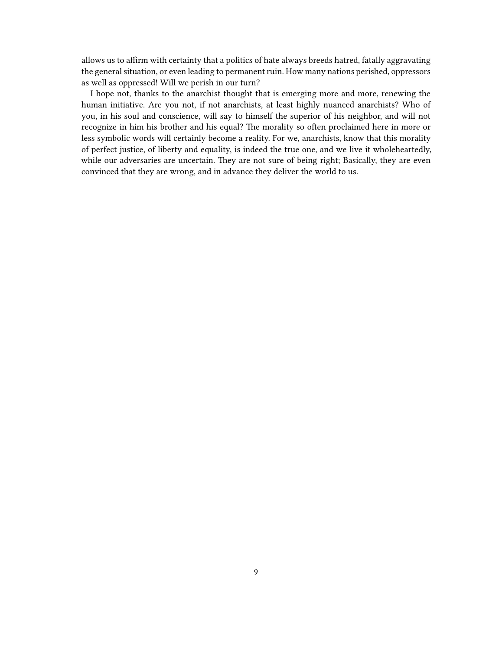allows us to affirm with certainty that a politics of hate always breeds hatred, fatally aggravating the general situation, or even leading to permanent ruin. How many nations perished, oppressors as well as oppressed! Will we perish in our turn?

I hope not, thanks to the anarchist thought that is emerging more and more, renewing the human initiative. Are you not, if not anarchists, at least highly nuanced anarchists? Who of you, in his soul and conscience, will say to himself the superior of his neighbor, and will not recognize in him his brother and his equal? The morality so often proclaimed here in more or less symbolic words will certainly become a reality. For we, anarchists, know that this morality of perfect justice, of liberty and equality, is indeed the true one, and we live it wholeheartedly, while our adversaries are uncertain. They are not sure of being right; Basically, they are even convinced that they are wrong, and in advance they deliver the world to us.